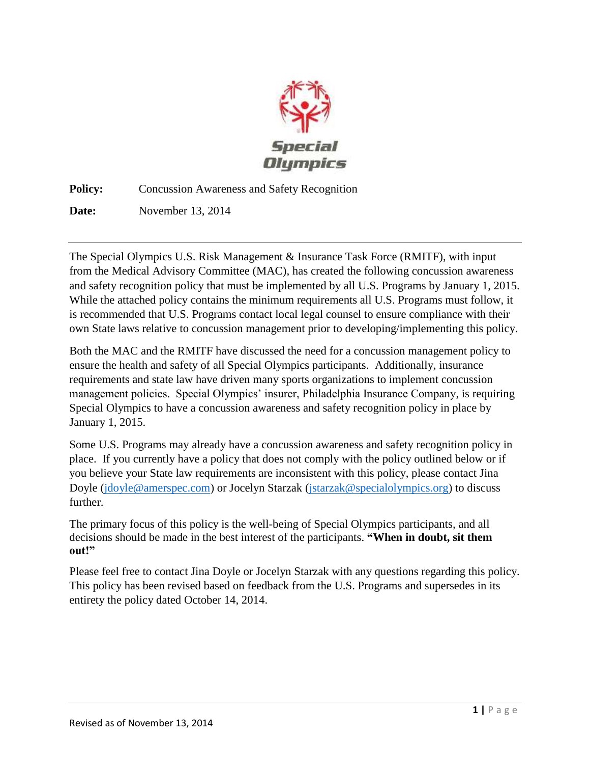

**Policy:** Concussion Awareness and Safety Recognition

**Date:** November 13, 2014

The Special Olympics U.S. Risk Management & Insurance Task Force (RMITF), with input from the Medical Advisory Committee (MAC), has created the following concussion awareness and safety recognition policy that must be implemented by all U.S. Programs by January 1, 2015. While the attached policy contains the minimum requirements all U.S. Programs must follow, it is recommended that U.S. Programs contact local legal counsel to ensure compliance with their own State laws relative to concussion management prior to developing/implementing this policy.

Both the MAC and the RMITF have discussed the need for a concussion management policy to ensure the health and safety of all Special Olympics participants. Additionally, insurance requirements and state law have driven many sports organizations to implement concussion management policies. Special Olympics' insurer, Philadelphia Insurance Company, is requiring Special Olympics to have a concussion awareness and safety recognition policy in place by January 1, 2015.

Some U.S. Programs may already have a concussion awareness and safety recognition policy in place. If you currently have a policy that does not comply with the policy outlined below or if you believe your State law requirements are inconsistent with this policy, please contact Jina Doyle [\(jdoyle@amerspec.com\)](mailto:jdoyle@amerspec.com) or Jocelyn Starzak [\(jstarzak@specialolympics.org\)](mailto:jstarzak@specialolympics.org) to discuss further.

The primary focus of this policy is the well-being of Special Olympics participants, and all decisions should be made in the best interest of the participants. **"When in doubt, sit them out!"** 

Please feel free to contact Jina Doyle or Jocelyn Starzak with any questions regarding this policy. This policy has been revised based on feedback from the U.S. Programs and supersedes in its entirety the policy dated October 14, 2014.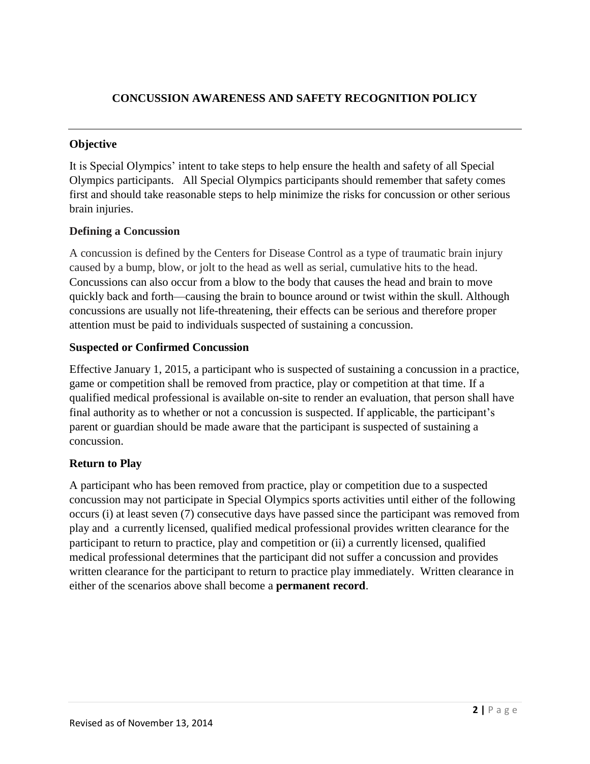## **CONCUSSION AWARENESS AND SAFETY RECOGNITION POLICY**

### **Objective**

It is Special Olympics' intent to take steps to help ensure the health and safety of all Special Olympics participants. All Special Olympics participants should remember that safety comes first and should take reasonable steps to help minimize the risks for concussion or other serious brain injuries.

#### **Defining a Concussion**

A concussion is defined by the Centers for Disease Control as a type of traumatic brain injury caused by a bump, blow, or jolt to the head as well as serial, cumulative hits to the head. Concussions can also occur from a blow to the body that causes the head and brain to move quickly back and forth—causing the brain to bounce around or twist within the skull. Although concussions are usually not life-threatening, their effects can be serious and therefore proper attention must be paid to individuals suspected of sustaining a concussion.

## **Suspected or Confirmed Concussion**

Effective January 1, 2015, a participant who is suspected of sustaining a concussion in a practice, game or competition shall be removed from practice, play or competition at that time. If a qualified medical professional is available on-site to render an evaluation, that person shall have final authority as to whether or not a concussion is suspected. If applicable, the participant's parent or guardian should be made aware that the participant is suspected of sustaining a concussion.

#### **Return to Play**

A participant who has been removed from practice, play or competition due to a suspected concussion may not participate in Special Olympics sports activities until either of the following occurs (i) at least seven (7) consecutive days have passed since the participant was removed from play and a currently licensed, qualified medical professional provides written clearance for the participant to return to practice, play and competition or (ii) a currently licensed, qualified medical professional determines that the participant did not suffer a concussion and provides written clearance for the participant to return to practice play immediately. Written clearance in either of the scenarios above shall become a **permanent record**.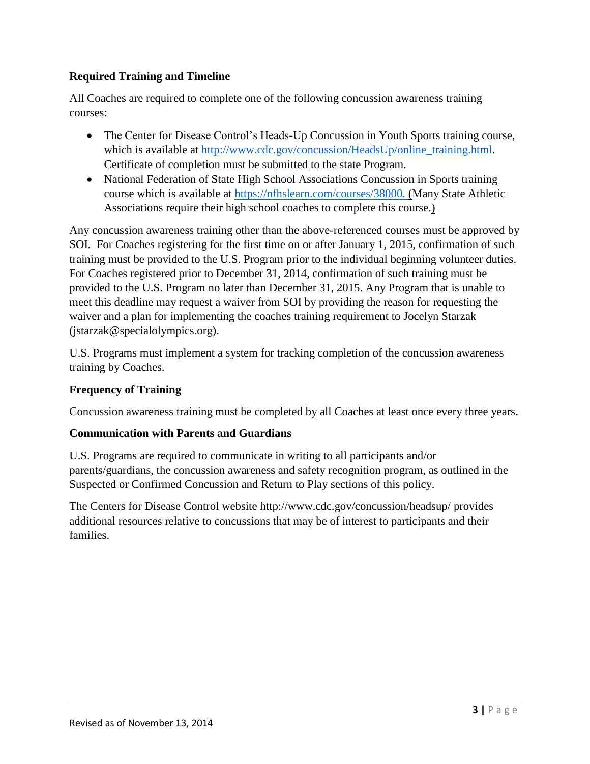## **Required Training and Timeline**

All Coaches are required to complete one of the following concussion awareness training courses:

- The Center for Disease Control's Heads-Up Concussion in Youth Sports training course, which is available at [http://www.cdc.gov/concussion/HeadsUp/online\\_training.html.](http://www.cdc.gov/concussion/HeadsUp/online_training.html) Certificate of completion must be submitted to the state Program.
- National Federation of State High School Associations Concussion in Sports training course which is available at [https://nfhslearn.com/courses/38000.](https://nfhslearn.com/courses/38000) (Many State Athletic Associations require their high school coaches to complete this course.)

Any concussion awareness training other than the above-referenced courses must be approved by SOI. For Coaches registering for the first time on or after January 1, 2015, confirmation of such training must be provided to the U.S. Program prior to the individual beginning volunteer duties. For Coaches registered prior to December 31, 2014, confirmation of such training must be provided to the U.S. Program no later than December 31, 2015. Any Program that is unable to meet this deadline may request a waiver from SOI by providing the reason for requesting the waiver and a plan for implementing the coaches training requirement to Jocelyn Starzak (jstarzak@specialolympics.org).

U.S. Programs must implement a system for tracking completion of the concussion awareness training by Coaches.

# **Frequency of Training**

Concussion awareness training must be completed by all Coaches at least once every three years.

#### **Communication with Parents and Guardians**

U.S. Programs are required to communicate in writing to all participants and/or parents/guardians, the concussion awareness and safety recognition program, as outlined in the Suspected or Confirmed Concussion and Return to Play sections of this policy.

The Centers for Disease Control website http://www.cdc.gov/concussion/headsup/ provides additional resources relative to concussions that may be of interest to participants and their families.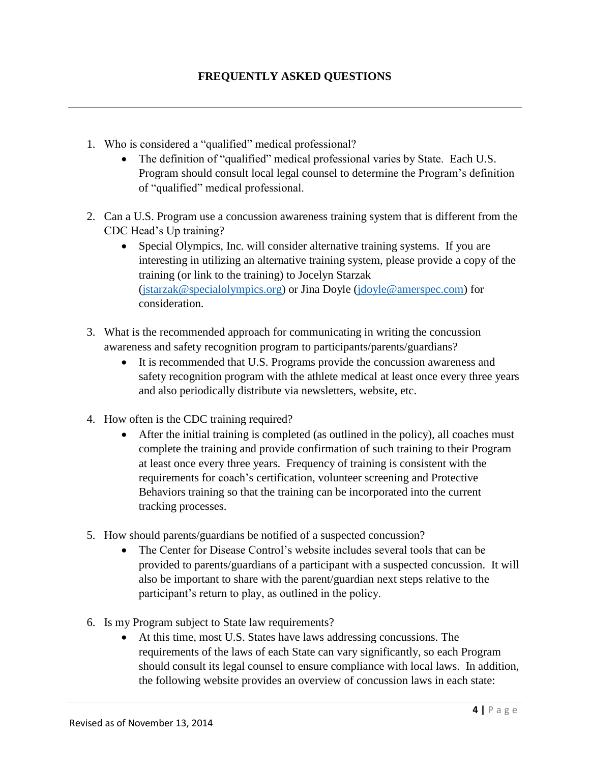- 1. Who is considered a "qualified" medical professional?
	- The definition of "qualified" medical professional varies by State. Each U.S. Program should consult local legal counsel to determine the Program's definition of "qualified" medical professional.
- 2. Can a U.S. Program use a concussion awareness training system that is different from the CDC Head's Up training?
	- Special Olympics, Inc. will consider alternative training systems. If you are interesting in utilizing an alternative training system, please provide a copy of the training (or link to the training) to Jocelyn Starzak [\(jstarzak@specialolympics.org\)](mailto:jstarzak@specialolympics.org) or Jina Doyle [\(jdoyle@amerspec.com\)](mailto:jdoyle@amerspec.com) for consideration.
- 3. What is the recommended approach for communicating in writing the concussion awareness and safety recognition program to participants/parents/guardians?
	- It is recommended that U.S. Programs provide the concussion awareness and safety recognition program with the athlete medical at least once every three years and also periodically distribute via newsletters, website, etc.
- 4. How often is the CDC training required?
	- After the initial training is completed (as outlined in the policy), all coaches must complete the training and provide confirmation of such training to their Program at least once every three years. Frequency of training is consistent with the requirements for coach's certification, volunteer screening and Protective Behaviors training so that the training can be incorporated into the current tracking processes.
- 5. How should parents/guardians be notified of a suspected concussion?
	- The Center for Disease Control's website includes several tools that can be provided to parents/guardians of a participant with a suspected concussion. It will also be important to share with the parent/guardian next steps relative to the participant's return to play, as outlined in the policy.
- 6. Is my Program subject to State law requirements?
	- At this time, most U.S. States have laws addressing concussions. The requirements of the laws of each State can vary significantly, so each Program should consult its legal counsel to ensure compliance with local laws. In addition, the following website provides an overview of concussion laws in each state: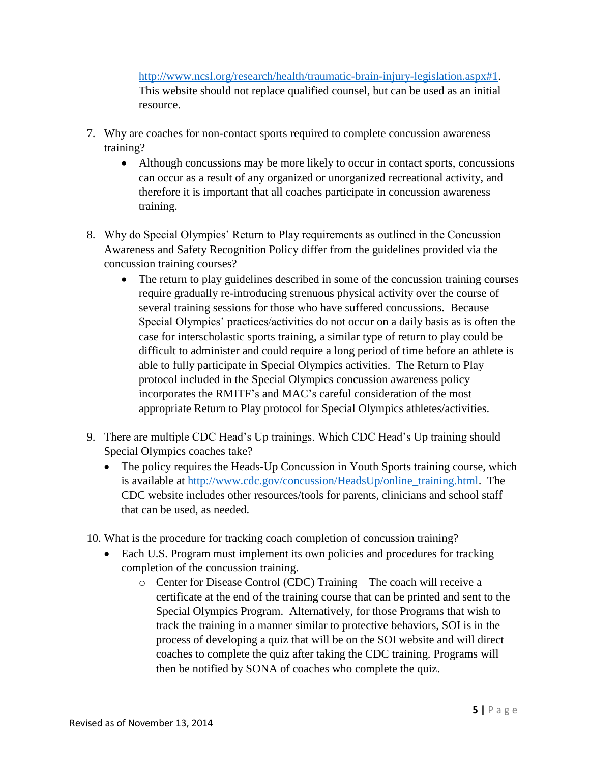[http://www.ncsl.org/research/health/traumatic-brain-injury-legislation.aspx#1.](http://www.ncsl.org/research/health/traumatic-brain-injury-legislation.aspx#1) This website should not replace qualified counsel, but can be used as an initial resource.

- 7. Why are coaches for non-contact sports required to complete concussion awareness training?
	- Although concussions may be more likely to occur in contact sports, concussions can occur as a result of any organized or unorganized recreational activity, and therefore it is important that all coaches participate in concussion awareness training.
- 8. Why do Special Olympics' Return to Play requirements as outlined in the Concussion Awareness and Safety Recognition Policy differ from the guidelines provided via the concussion training courses?
	- The return to play guidelines described in some of the concussion training courses require gradually re-introducing strenuous physical activity over the course of several training sessions for those who have suffered concussions. Because Special Olympics' practices/activities do not occur on a daily basis as is often the case for interscholastic sports training, a similar type of return to play could be difficult to administer and could require a long period of time before an athlete is able to fully participate in Special Olympics activities. The Return to Play protocol included in the Special Olympics concussion awareness policy incorporates the RMITF's and MAC's careful consideration of the most appropriate Return to Play protocol for Special Olympics athletes/activities.
- 9. There are multiple CDC Head's Up trainings. Which CDC Head's Up training should Special Olympics coaches take?
	- The policy requires the Heads-Up Concussion in Youth Sports training course, which is available at [http://www.cdc.gov/concussion/HeadsUp/online\\_training.html.](http://www.cdc.gov/concussion/HeadsUp/online_training.html) The CDC website includes other resources/tools for parents, clinicians and school staff that can be used, as needed.
- 10. What is the procedure for tracking coach completion of concussion training?
	- Each U.S. Program must implement its own policies and procedures for tracking completion of the concussion training.
		- o Center for Disease Control (CDC) Training The coach will receive a certificate at the end of the training course that can be printed and sent to the Special Olympics Program. Alternatively, for those Programs that wish to track the training in a manner similar to protective behaviors, SOI is in the process of developing a quiz that will be on the SOI website and will direct coaches to complete the quiz after taking the CDC training. Programs will then be notified by SONA of coaches who complete the quiz.